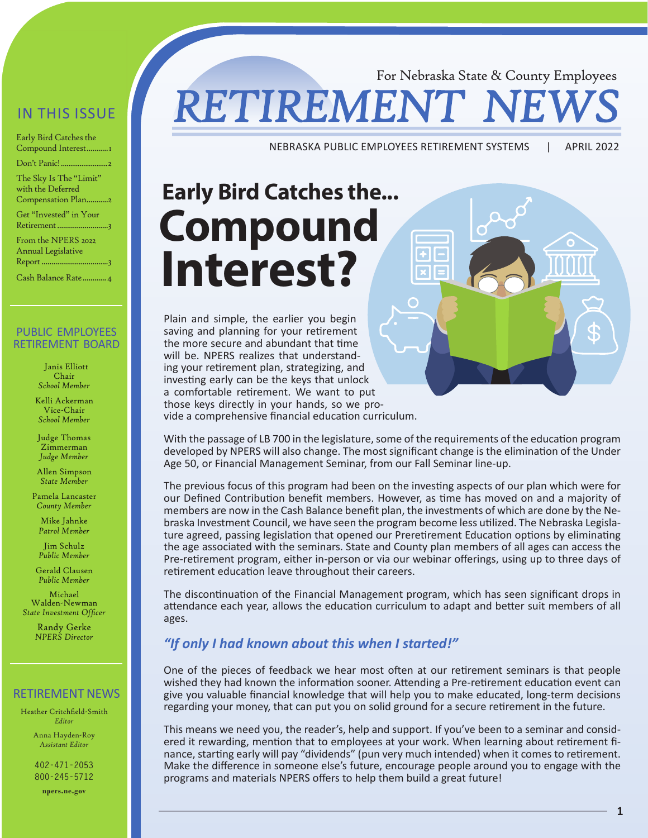#### IN THIS ISSUE

Early Bird Catches the Compound Interest...........1 Don't Panic[!.........................2](#page-1-0)

The Sky Is The "Limit" with the Deferred Compensation Plan.......

Get "Invested" in Your Retirement...............................3

From the NPERS 2022 Annual Legislative Repor[t..................................](#page-3-0)3

Cash Balance Rat[e............4](#page-3-0)

#### PUBLIC EMPLOYEES RETIREMENT BOARD

 Janis Elliott Chair *School Member*

Kelli Ackerman Vice-Chair *School Member*

Judge Thomas Zimmerman *Judge Member*

Allen Simpson *State Member*

Pamela Lancaster *County Member*

Mike Jahnke *Patrol Member*

Jim Schulz *Public Member*

Gerald Clausen *Public Member*

Michael Walden-Newman *State Investment Officer*

> Randy Gerke *NPERS Director*

#### RETIREMENT NEWS

Heather Critchfield-Smith *Editor*

> Anna Hayden-Roy *Assistant Editor*

**402-471-2053 800-245-5712**

**npers.ne.gov**

### For Nebraska State & County Employees **RETIREMENT**

NEBRASKA PUBLIC EMPLOYEES RETIREMENT SYSTEMS | APRIL 2022

# **Early Bird Catches the... Compound Interest?**

Plain and simple, the earlier you begin saving and planning for your retirement the more secure and abundant that time will be. NPERS realizes that understanding your retirement plan, strategizing, and investing early can be the keys that unlock a comfortable retirement. We want to put those keys directly in your hands, so we provide a comprehensive financial education curriculum.

With the passage of LB 700 in the legislature, some of the requirements of the education program developed by NPERS will also change. The most significant change is the elimination of the Under Age 50, or Financial Management Seminar, from our Fall Seminar line-up.

The previous focus of this program had been on the investing aspects of our plan which were for our Defined Contribution benefit members. However, as time has moved on and a majority of members are now in the Cash Balance benefit plan, the investments of which are done by the Nebraska Investment Council, we have seen the program become less utilized. The Nebraska Legislature agreed, passing legislation that opened our Preretirement Education options by eliminating the age associated with the seminars. State and County plan members of all ages can access the Pre-retirement program, either in-person or via our webinar offerings, using up to three days of retirement education leave throughout their careers.

The discontinuation of the Financial Management program, which has seen significant drops in attendance each year, allows the education curriculum to adapt and better suit members of all ages.

#### *"If only I had known about this when I started!"*

One of the pieces of feedback we hear most often at our retirement seminars is that people wished they had known the information sooner. Attending a Pre-retirement education event can give you valuable financial knowledge that will help you to make educated, long-term decisions regarding your money, that can put you on solid ground for a secure retirement in the future.

This means we need you, the reader's, help and support. If you've been to a seminar and considered it rewarding, mention that to employees at your work. When learning about retirement finance, starting early will pay "dividends" (pun very much intended) when it comes to retirement. Make the difference in someone else's future, encourage people around you to engage with the programs and materials NPERS offers to help them build a great future!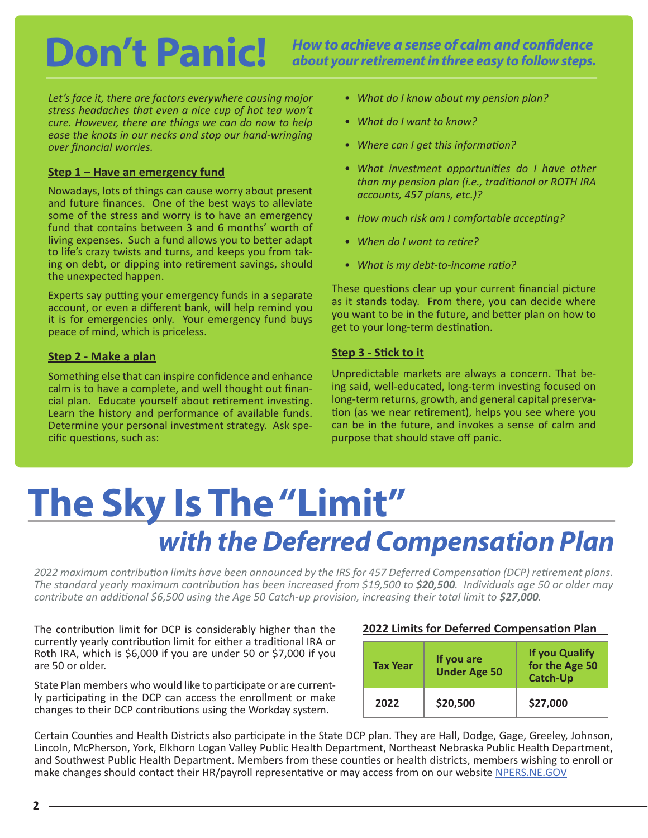### <span id="page-1-0"></span>Don't Panic! How to achieve a sense of calm and confidence about your retirement in three easy to follow steps. *about your retirement in three easy to follow steps.*

*Let's face it, there are factors everywhere causing major stress headaches that even a nice cup of hot tea won't cure. However, there are things we can do now to help ease the knots in our necks and stop our hand-wringing over financial worries.* 

#### **Step 1 – Have an emergency fund**

Nowadays, lots of things can cause worry about present and future finances. One of the best ways to alleviate some of the stress and worry is to have an emergency fund that contains between 3 and 6 months' worth of living expenses. Such a fund allows you to better adapt to life's crazy twists and turns, and keeps you from taking on debt, or dipping into retirement savings, should the unexpected happen.

Experts say putting your emergency funds in a separate account, or even a different bank, will help remind you it is for emergencies only. Your emergency fund buys peace of mind, which is priceless.

#### **Step 2 - Make a plan**

Something else that can inspire confidence and enhance calm is to have a complete, and well thought out financial plan. Educate yourself about retirement investing. Learn the history and performance of available funds. Determine your personal investment strategy. Ask specific questions, such as:

- *• What do I know about my pension plan?*
- *• What do I want to know?*
- *• Where can I get this information?*
- *• What investment opportunities do I have other than my pension plan (i.e., traditional or ROTH IRA accounts, 457 plans, etc.)?*
- *• How much risk am I comfortable accepting?*
- *• When do I want to retire?*
- *• What is my debt-to-income ratio?*

These questions clear up your current financial picture as it stands today. From there, you can decide where you want to be in the future, and better plan on how to get to your long-term destination.

#### **Step 3 - Stick to it**

Unpredictable markets are always a concern. That being said, well-educated, long-term investing focused on long-term returns, growth, and general capital preservation (as we near retirement), helps you see where you can be in the future, and invokes a sense of calm and purpose that should stave off panic.

## **The Sky Is The "Limit"**  *with the Deferred Compensation Plan*

*2022 maximum contribution limits have been announced by the IRS for 457 Deferred Compensation (DCP) retirement plans. The standard yearly maximum contribution has been increased from \$19,500 to \$20,500. Individuals age 50 or older may contribute an additional \$6,500 using the Age 50 Catch-up provision, increasing their total limit to \$27,000.* 

The contribution limit for DCP is considerably higher than the currently yearly contribution limit for either a traditional IRA or Roth IRA, which is \$6,000 if you are under 50 or \$7,000 if you are 50 or older.

State Plan members who would like to participate or are currently participating in the DCP can access the enrollment or make changes to their DCP contributions using the Workday system.

#### **2022 Limits for Deferred Compensation Plan**

| <b>Tax Year</b> | If you are<br><b>Under Age 50</b> | <b>If you Qualify</b><br>for the Age 50<br><b>Catch-Up</b> |
|-----------------|-----------------------------------|------------------------------------------------------------|
| 2022            | \$20,500                          | \$27,000                                                   |

Certain Counties and Health Districts also participate in the State DCP plan. They are Hall, Dodge, Gage, Greeley, Johnson, Lincoln, McPherson, York, Elkhorn Logan Valley Public Health Department, Northeast Nebraska Public Health Department, and Southwest Public Health Department. Members from these counties or health districts, members wishing to enroll or make changes should contact their HR/payroll representative or may access from on our website [NPERS.NE.GOV](http://NPERS.NE.GOV)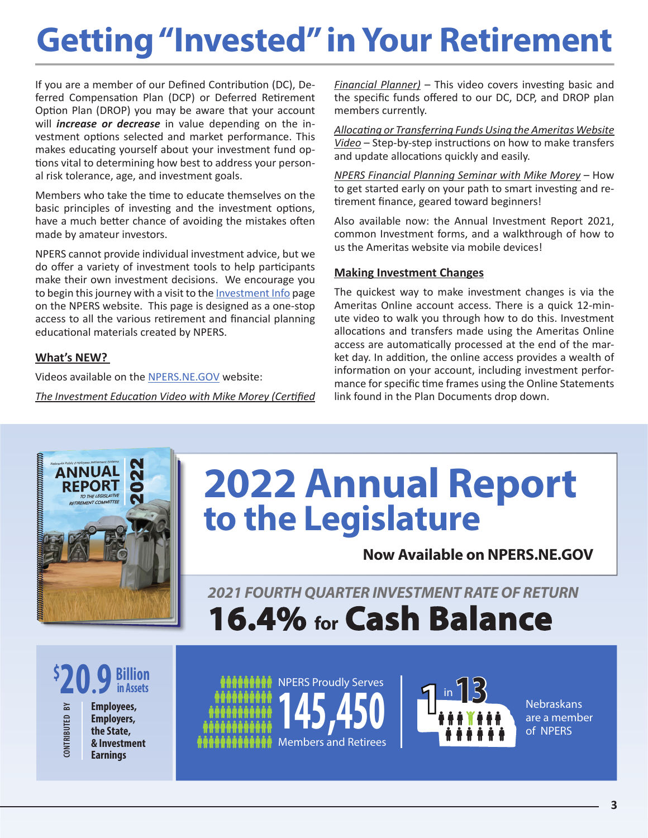# <span id="page-2-0"></span>**Getting "Invested" in Your Retirement**

If you are a member of our Defined Contribution (DC), Deferred Compensation Plan (DCP) or Deferred Retirement Option Plan (DROP) you may be aware that your account will *increase or decrease* in value depending on the investment options selected and market performance. This makes educating yourself about your investment fund options vital to determining how best to address your personal risk tolerance, age, and investment goals.

Members who take the time to educate themselves on the basic principles of investing and the investment options, have a much better chance of avoiding the mistakes often made by amateur investors.

NPERS cannot provide individual investment advice, but we do offer a variety of investment tools to help participants make their own investment decisions. We encourage you to begin this journey with a visit to the [Investment Info](https://npers.ne.gov/SelfService/public/otherInformation/FinancialFacts/) page on the NPERS website. This page is designed as a one-stop access to all the various retirement and financial planning educational materials created by NPERS.

#### **What's NEW?**

Videos available on the [NPERS.NE.GOV](https://npers.ne.gov/SelfService/index.jsp) website:

*The Investment Education Video with Mike Morey (Certified* 

*Financial Planner)* – This video covers investing basic and the specific funds offered to our DC, DCP, and DROP plan members currently.

*Allocating or Transferring Funds Using the Ameritas Website Video* – Step-by-step instructions on how to make transfers and update allocations quickly and easily.

*NPERS Financial Planning Seminar with Mike Morey* – How to get started early on your path to smart investing and retirement finance, geared toward beginners!

Also available now: the Annual Investment Report 2021, common Investment forms, and a walkthrough of how to us the Ameritas website via mobile devices!

#### **Making Investment Changes**

The quickest way to make investment changes is via the Ameritas Online account access. There is a quick 12-minute video to walk you through how to do this. Investment allocations and transfers made using the Ameritas Online access are automatically processed at the end of the market day. In addition, the online access provides a wealth of information on your account, including investment performance for specific time frames using the Online Statements link found in the Plan Documents drop down.



# **2022 Annual Report to the Legislature**

**Now Available on NPERS.NE.GOV** 

*2021 FOURTH QUARTER INVESTMENT RATE OF RETURN* **16.4% for Cash Balance**

**\$ 20.9 Billion in Assets**

 $\mathbb{N}$ **CONTRIBUTED BY CONTRIBUTED** 

**Employees, Employers, the State, & Investment Earnings**





are a member of NPERS